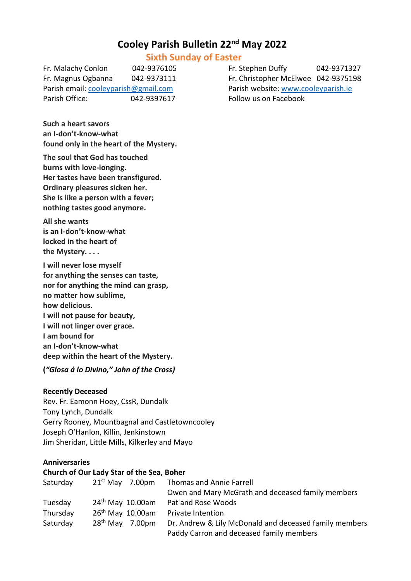# **Cooley Parish Bulletin 22nd May 2022**

## **Sixth Sunday of Easter**

Fr. Malachy Conlon 042-9376105 Fr. Stephen Duffy 042-9371327 Fr. Magnus Ogbanna 042-9373111 Fr. Christopher McElwee 042-9375198 Parish email[: cooleyparish@gmail.com](mailto:cooleyparish@gmail.com) Parish website: [www.cooleyparish.ie](http://www.cooleyparish.ie/) Parish Office: 042-9397617 Follow us on Facebook

**Such a heart savors an I-don't-know-what found only in the heart of the Mystery.**

**The soul that God has touched burns with love-longing. Her tastes have been transfigured. Ordinary pleasures sicken her. She is like a person with a fever; nothing tastes good anymore.**

**All she wants is an I-don't-know-what locked in the heart of the Mystery. . . .**

**I will never lose myself for anything the senses can taste, nor for anything the mind can grasp, no matter how sublime, how delicious. I will not pause for beauty, I will not linger over grace. I am bound for an I-don't-know-what deep within the heart of the Mystery.**

**(***"Glosa á lo Divino," John of the Cross)*

## **Recently Deceased**

Rev. Fr. Eamonn Hoey, CssR, Dundalk Tony Lynch, Dundalk Gerry Rooney, Mountbagnal and Castletowncooley Joseph O'Hanlon, Killin, Jenkinstown Jim Sheridan, Little Mills, Kilkerley and Mayo

## **Anniversaries**

#### **Church of Our Lady Star of the Sea, Boher**

| Saturday | $21st$ May 7.00pm  | Thomas and Annie Farrell                               |  |
|----------|--------------------|--------------------------------------------------------|--|
|          |                    | Owen and Mary McGrath and deceased family members      |  |
| Tuesday  | $24th$ May 10.00am | Pat and Rose Woods                                     |  |
| Thursday | $26th$ May 10.00am | Private Intention                                      |  |
| Saturday | $28th$ May 7.00pm  | Dr. Andrew & Lily McDonald and deceased family members |  |
|          |                    | Paddy Carron and deceased family members               |  |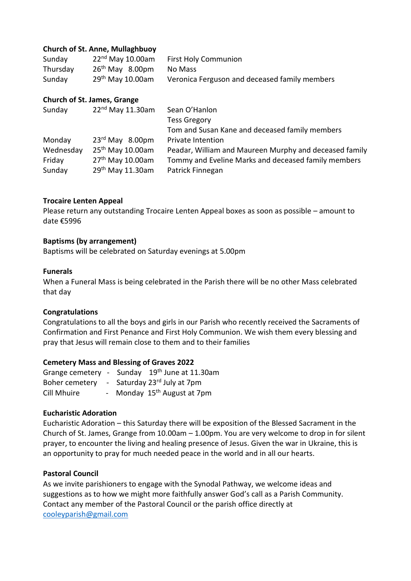## **Church of St. Anne, Mullaghbuoy**

| Sunday   | $22nd$ May 10.00am | <b>First Holy Communion</b>                   |
|----------|--------------------|-----------------------------------------------|
| Thursday | $26th$ May 8.00pm  | No Mass                                       |
| Sunday   | $29th$ May 10.00am | Veronica Ferguson and deceased family members |

## **Church of St. James, Grange**

| Sunday    | 22 <sup>nd</sup> May 11.30am | Sean O'Hanlon                                          |
|-----------|------------------------------|--------------------------------------------------------|
|           |                              | <b>Tess Gregory</b>                                    |
|           |                              | Tom and Susan Kane and deceased family members         |
| Monday    | $23rd$ May 8.00pm            | Private Intention                                      |
| Wednesday | 25 <sup>th</sup> May 10.00am | Peadar, William and Maureen Murphy and deceased family |
| Friday    | 27 <sup>th</sup> May 10.00am | Tommy and Eveline Marks and deceased family members    |
| Sunday    | 29th May 11.30am             | Patrick Finnegan                                       |

## **Trocaire Lenten Appeal**

Please return any outstanding Trocaire Lenten Appeal boxes as soon as possible – amount to date €5996

## **Baptisms (by arrangement)**

Baptisms will be celebrated on Saturday evenings at 5.00pm

## **Funerals**

When a Funeral Mass is being celebrated in the Parish there will be no other Mass celebrated that day

## **Congratulations**

Congratulations to all the boys and girls in our Parish who recently received the Sacraments of Confirmation and First Penance and First Holy Communion. We wish them every blessing and pray that Jesus will remain close to them and to their families

## **Cemetery Mass and Blessing of Graves 2022**

|             | Grange cemetery - Sunday 19 <sup>th</sup> June at 11.30am |
|-------------|-----------------------------------------------------------|
|             | Boher cemetery - Saturday 23rd July at 7pm                |
| Cill Mhuire | - Monday 15 <sup>th</sup> August at 7pm                   |

## **Eucharistic Adoration**

Eucharistic Adoration – this Saturday there will be exposition of the Blessed Sacrament in the Church of St. James, Grange from 10.00am – 1.00pm. You are very welcome to drop in for silent prayer, to encounter the living and healing presence of Jesus. Given the war in Ukraine, this is an opportunity to pray for much needed peace in the world and in all our hearts.

## **Pastoral Council**

As we invite parishioners to engage with the Synodal Pathway, we welcome ideas and suggestions as to how we might more faithfully answer God's call as a Parish Community. Contact any member of the Pastoral Council or the parish office directly at [cooleyparish@gmail.com](mailto:cooleyparish@gmail.com)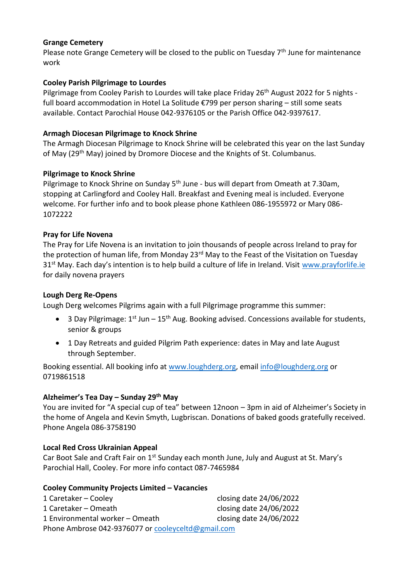## **Grange Cemetery**

Please note Grange Cemetery will be closed to the public on Tuesday  $7<sup>th</sup>$  June for maintenance work

## **Cooley Parish Pilgrimage to Lourdes**

Pilgrimage from Cooley Parish to Lourdes will take place Friday 26<sup>th</sup> August 2022 for 5 nights full board accommodation in Hotel La Solitude €799 per person sharing – still some seats available. Contact Parochial House 042-9376105 or the Parish Office 042-9397617.

## **Armagh Diocesan Pilgrimage to Knock Shrine**

The Armagh Diocesan Pilgrimage to Knock Shrine will be celebrated this year on the last Sunday of May (29<sup>th</sup> May) joined by Dromore Diocese and the Knights of St. Columbanus.

## **Pilgrimage to Knock Shrine**

Pilgrimage to Knock Shrine on Sunday 5<sup>th</sup> June - bus will depart from Omeath at 7.30am, stopping at Carlingford and Cooley Hall. Breakfast and Evening meal is included. Everyone welcome. For further info and to book please phone Kathleen 086-1955972 or Mary 086- 1072222

## **Pray for Life Novena**

The Pray for Life Novena is an invitation to join thousands of people across Ireland to pray for the protection of human life, from Monday 23<sup>rd</sup> May to the Feast of the Visitation on Tuesday 31<sup>st</sup> May. Each day's intention is to help build a culture of life in Ireland. Visit [www.prayforlife.ie](http://www.prayforlife.ie/) for daily novena prayers

## **Lough Derg Re-Opens**

Lough Derg welcomes Pilgrims again with a full Pilgrimage programme this summer:

- 3 Day Pilgrimage:  $1^{st}$  Jun  $15^{th}$  Aug. Booking advised. Concessions available for students, senior & groups
- 1 Day Retreats and guided Pilgrim Path experience: dates in May and late August through September.

Booking essential. All booking info at [www.loughderg.org,](http://www.loughderg.org/) email [info@loughderg.org](mailto:info@loughderg.org) or 0719861518

## **Alzheimer's Tea Day – Sunday 29th May**

You are invited for "A special cup of tea" between 12noon – 3pm in aid of Alzheimer's Society in the home of Angela and Kevin Smyth, Lugbriscan. Donations of baked goods gratefully received. Phone Angela 086-3758190

## **Local Red Cross Ukrainian Appeal**

Car Boot Sale and Craft Fair on 1<sup>st</sup> Sunday each month June, July and August at St. Mary's Parochial Hall, Cooley. For more info contact 087-7465984

## **Cooley Community Projects Limited – Vacancies**

| 1 Caretaker – Cooley                               | closing date 24/06/2022 |  |  |  |  |
|----------------------------------------------------|-------------------------|--|--|--|--|
| 1 Caretaker – Omeath                               | closing date 24/06/2022 |  |  |  |  |
| 1 Environmental worker - Omeath                    | closing date 24/06/2022 |  |  |  |  |
| Phone Ambrose 042-9376077 or cooleyceltd@gmail.com |                         |  |  |  |  |